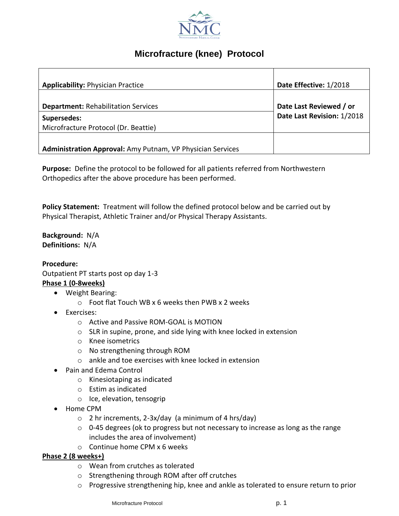

## **Microfracture (knee) Protocol**

| <b>Applicability: Physician Practice</b>                   | Date Effective: 1/2018     |
|------------------------------------------------------------|----------------------------|
| <b>Department: Rehabilitation Services</b>                 | Date Last Reviewed / or    |
| Supersedes:<br>Microfracture Protocol (Dr. Beattie)        | Date Last Revision: 1/2018 |
| Administration Approval: Amy Putnam, VP Physician Services |                            |

**Purpose:** Define the protocol to be followed for all patients referred from Northwestern Orthopedics after the above procedure has been performed.

**Policy Statement:** Treatment will follow the defined protocol below and be carried out by Physical Therapist, Athletic Trainer and/or Physical Therapy Assistants.

**Background:** N/A **Definitions:** N/A

**Procedure:** Outpatient PT starts post op day 1-3 **Phase 1 (0-8weeks)**

- Weight Bearing:
	- o Foot flat Touch WB x 6 weeks then PWB x 2 weeks
- **•** Exercises:
	- o Active and Passive ROM-GOAL is MOTION
	- o SLR in supine, prone, and side lying with knee locked in extension
	- o Knee isometrics
	- o No strengthening through ROM
	- o ankle and toe exercises with knee locked in extension
- Pain and Edema Control
	- o Kinesiotaping as indicated
	- o Estim as indicated
	- o Ice, elevation, tensogrip
- Home CPM
	- $\circ$  2 hr increments, 2-3x/day (a minimum of 4 hrs/day)
	- o 0-45 degrees (ok to progress but not necessary to increase as long as the range includes the area of involvement)
	- o Continue home CPM x 6 weeks

## **Phase 2 (8 weeks+)**

- o Wean from crutches as tolerated
- o Strengthening through ROM after off crutches
- o Progressive strengthening hip, knee and ankle as tolerated to ensure return to prior